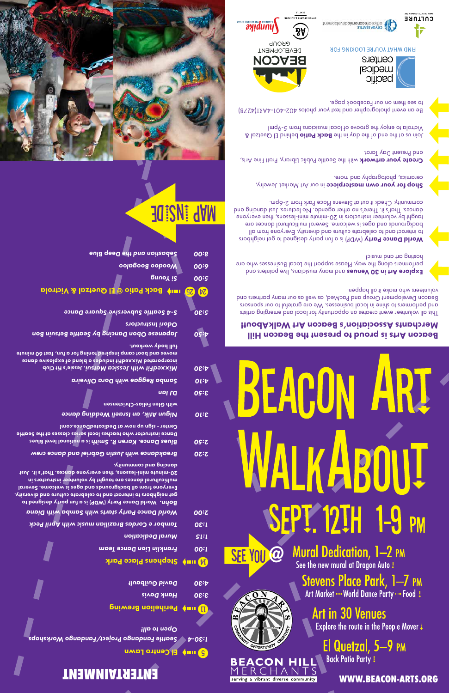**WWW.BEACON-ARTS.ORG**

**PM** 

# **ENTERTAINMENT**

B und El Centro Lawn

*Seattle Fandango Project/Fandango Workshops 1:30-4*

*Open to all!* 

**W** muy Perihelion Brewing

*Hank Davis 3:30*

*David Guilbault 4:30*

**Rightle Stephens Place Park** 

*Franklin Lion Dance Team 1:00*

*ural Dedication M 1:15*

*Tambor e Cordas Brazilian music with April Peck 1:30*

*World Dance Party starts with Samba with Diana 2:00*

erving a vibrant diverse community

SEE YOU @

 $\widehat{\mathbb{C}\mathbb{D}^N}$ 

PPORTUNIT

**BEACON HILL** А

**Art in 30 Venues** Explore the route in the People Mover!

Stevens Place Park, 1-7 PM<br>Art Market --- World Dance Party --- Food !

**Mural Dedication, 1-2 PM** See the new mural at Dragon Auto !

El Quetzal, 5-9 PM

**Back Patio Party !** 

World Dance Party (WDP) is a fun party designed to *Bohn.*  get neighbors to interact and to celebrate culture and diversity. Everyone from all backgrounds and ages is welcome. Several multicultural dances are taught by volunteer instructors in 20-minute mini-lessons, then everyone dances. That's it. Just dancing and community.

*Breakdance with Justin Gabriel and dance crew 2:20*

is a national level Blues *Blues Dance. Karen R. Smith 2:50* Dance instructor who teaches local series classes at the Seattle Center - sign up now at DedicatedDance.com!

*Nigun Atik, an Israeli Wedding dance 3:10* 

with Glen Felias-Christensen

**Explore Art in 30 Venues** and many musicians, and are in an approach and the performers along the way. Please support the Local Businesses who are hosting art and music!

World Dance Party (WDP) is a fun party designed to get neighbors to interact and to celebrate culture and diversity. Everyone from all backgrounds and ages is welcome. Several multicultural dances are taught by volunteer instructors in 20-minute mini-lessons, then everyone dances. That's it. There's no other agenda. No lectures. Just dancing and communiy. Check it out at Stevens Place Park from 2-6pm.

*DJ Ian 3:50* 

*Samba Reggae with Dora Oliveira 4:10*

Jessie's Fit Club *MixxedFit with Jessica Matsui. 4:30* incorporated MixxedFit includes a blend of explosive dance moves and boot camp inspired toning for a fun, fast 60 minute full body workout.

**Shop for your own masterpiece** in our Art Market. Jewelry, ceramics, photography and more.

*Japanese Obon Dancing by Seattle Betsuin Bon 4:50 Odori Instructors* 

**Create your artwork** with the Seattle Public Library, Pratt Fine Arts, and Present Day Tarot.

*S-4 Seattle Subversive Square Dance 5:30*

### **Back Patio @ El Quetzal & Victrola hage Apply**

behind as a parabor and the partial particle  $B$  and  $B$  of the day in the solution  $\beta$ Victrola to enjoy the groove of local musicians from 5-9pm!

| Moodoo Boogdoo |          | 00:9 |
|----------------|----------|------|
|                | Bunoχ iς | 00:5 |

*Sebastian and the Deep Blue 8:00*

# ani: Japan



# **BEAC**

### Beacon Arts is proud to present the Beacon Hill Merchants Association's Beacon Art WalkAbout!

This all volunteer event creates an opportunity for local and emerging artists and performers to shine in local businesses. We are grateful to our sponsors Beacon Development Group and PacMed, as well as our many partners and volunteers who make it all happen.

Be an event photographer and text your photos 402-401-4ART(4278) to see them on our Facebook page.







FIND WHAT YOU'RE LOOKING FOR

Centers imedical pacific